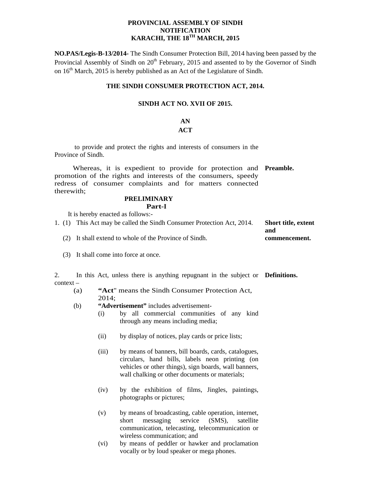#### **PROVINCIAL ASSEMBLY OF SINDH NOTIFICATION KARACHI, THE 18TH MARCH, 2015**

**NO.PAS/Legis-B-13/2014-** The Sindh Consumer Protection Bill, 2014 having been passed by the Provincial Assembly of Sindh on  $20<sup>th</sup>$  February, 2015 and assented to by the Governor of Sindh on  $16<sup>th</sup>$  March, 2015 is hereby published as an Act of the Legislature of Sindh.

#### **THE SINDH CONSUMER PROTECTION ACT, 2014.**

#### **SINDH ACT NO. XVII OF 2015.**

# **AN**

## **ACT**

 to provide and protect the rights and interests of consumers in the Province of Sindh.

Whereas, it is expedient to provide for protection and **Preamble.**  promotion of the rights and interests of the consumers, speedy redress of consumer complaints and for matters connected therewith;

#### **PRELIMINARY Part-I**

It is hereby enacted as follows:-

| 1. (1) This Act may be called the Sindh Consumer Protection Act, 2014. | <b>Short title, extent</b> |
|------------------------------------------------------------------------|----------------------------|
|                                                                        | and                        |
| (2) It shall extend to whole of the Province of Sindh.                 | commencement.              |

(3) It shall come into force at once.

2. In this Act, unless there is anything repugnant in the subject or **Definitions.** context –

- (a) **"Act**" means the Sindh Consumer Protection Act, 2014;
- (b) **"Advertisement"** includes advertisement-
	- (i) by all commercial communities of any kind through any means including media;
	- (ii) by display of notices, play cards or price lists;
	- (iii) by means of banners, bill boards, cards, catalogues, circulars, hand bills, labels neon printing (on vehicles or other things), sign boards, wall banners, wall chalking or other documents or materials;
	- (iv) by the exhibition of films, Jingles, paintings, photographs or pictures;
	- (v) by means of broadcasting, cable operation, internet, short messaging service (SMS), satellite communication, telecasting, telecommunication or wireless communication; and
	- (vi) by means of peddler or hawker and proclamation vocally or by loud speaker or mega phones.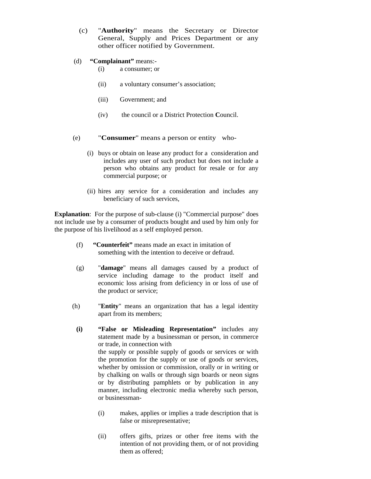- (c) "**Authority**" means the Secretary or Director General, Supply and Prices Department or any other officer notified by Government.
- (d) **"Complainant"** means:-
	- (i) a consumer; or
	- (ii) a voluntary consumer's association;
	- (iii) Government; and
	- (iv) the council or a District Protection **C**ouncil.
- (e) "**Consumer**" means a person or entity who-
	- (i) buys or obtain on lease any product for a consideration and includes any user of such product but does not include a person who obtains any product for resale or for any commercial purpose; or
	- (ii) hires any service for a consideration and includes any beneficiary of such services,

**Explanation**: For the purpose of sub-clause (i) "Commercial purpose" does not include use by a consumer of products bought and used by him only for the purpose of his livelihood as a self employed person.

- (f) **"Counterfeit"** means made an exact in imitation of something with the intention to deceive or defraud.
- (g) "**damage**" means all damages caused by a product of service including damage to the product itself and economic loss arising from deficiency in or loss of use of the product or service;
- (h) "**Entity**" means an organization that has a legal identity apart from its members;
	- **(i) "False or Misleading Representation"** includes any statement made by a businessman or person, in commerce or trade, in connection with the supply or possible supply of goods or services or with the promotion for the supply or use of goods or services, whether by omission or commission, orally or in writing or by chalking on walls or through sign boards or neon signs or by distributing pamphlets or by publication in any manner, including electronic media whereby such person, or businessman-
		- (i) makes, applies or implies a trade description that is false or misrepresentative;
		- (ii) offers gifts, prizes or other free items with the intention of not providing them, or of not providing them as offered;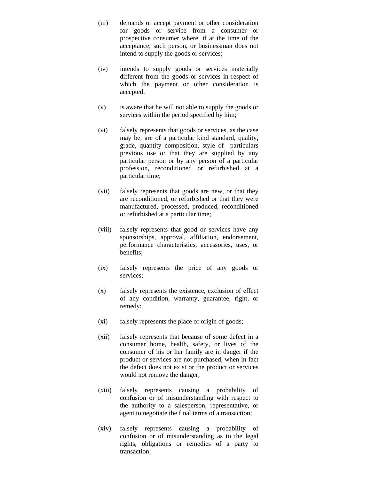- (iii) demands or accept payment or other consideration for goods or service from a consumer or prospective consumer where, if at the time of the acceptance, such person, or businessman does not intend to supply the goods or services;
- (iv) intends to supply goods or services materially different from the goods or services in respect of which the payment or other consideration is accepted.
- (v) is aware that he will not able to supply the goods or services within the period specified by him;
- (vi) falsely represents that goods or services, as the case may be, are of a particular kind standard, quality, grade, quantity composition, style of particulars previous use or that they are supplied by any particular person or by any person of a particular profession, reconditioned or refurbished at a particular time;
- (vii) falsely represents that goods are new, or that they are reconditioned, or refurbished or that they were manufactured, processed, produced, reconditioned or refurbished at a particular time;
- (viii) falsely represents that good or services have any sponsorships, approval, affiliation, endorsement, performance characteristics, accessories, uses, or benefits;
- (ix) falsely represents the price of any goods or services;
- (x) falsely represents the existence, exclusion of effect of any condition, warranty, guarantee, right, or remedy;
- (xi) falsely represents the place of origin of goods;
- (xii) falsely represents that because of some defect in a consumer home, health, safety, or lives of the consumer of his or her family are in danger if the product or services are not purchased, when in fact the defect does not exist or the product or services would not remove the danger;
- (xiii) falsely represents causing a probability of confusion or of misunderstanding with respect to the authority to a salesperson, representative, or agent to negotiate the final terms of a transaction;
- (xiv) falsely represents causing a probability of confusion or of misunderstanding as to the legal rights, obligations or remedies of a party to transaction;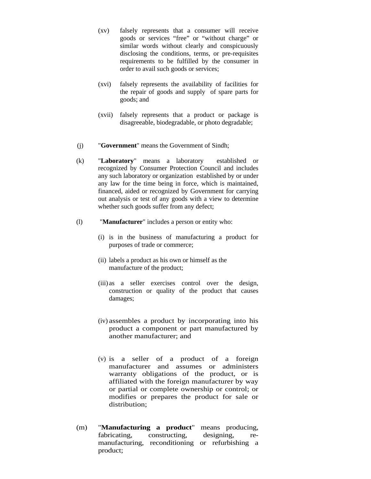- (xv) falsely represents that a consumer will receive goods or services "free" or "without charge" or similar words without clearly and conspicuously disclosing the conditions, terms, or pre-requisites requirements to be fulfilled by the consumer in order to avail such goods or services;
- (xvi) falsely represents the availability of facilities for the repair of goods and supply of spare parts for goods; and
- (xvii) falsely represents that a product or package is disagreeable, biodegradable, or photo degradable;
- (j) "**Government**" means the Government of Sindh;
- (k) "**Laboratory**" means a laboratory established or recognized by Consumer Protection Council and includes any such laboratory or organization established by or under any law for the time being in force, which is maintained, financed, aided or recognized by Government for carrying out analysis or test of any goods with a view to determine whether such goods suffer from any defect;
- (l) "**Manufacturer**" includes a person or entity who:
	- (i) is in the business of manufacturing a product for purposes of trade or commerce;
	- (ii) labels a product as his own or himself as the manufacture of the product;
	- (iii) as a seller exercises control over the design, construction or quality of the product that causes damages;
	- (iv) assembles a product by incorporating into his product a component or part manufactured by another manufacturer; and
	- (v) is a seller of a product of a foreign manufacturer and assumes or administers warranty obligations of the product, or is affiliated with the foreign manufacturer by way or partial or complete ownership or control; or modifies or prepares the product for sale or distribution;
- (m) "**Manufacturing a product**" means producing, fabricating, constructing, designing, remanufacturing, reconditioning or refurbishing a product;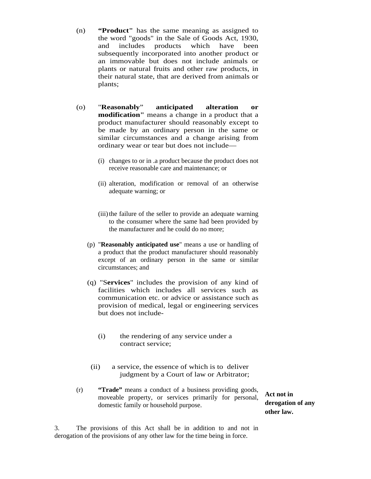- (n) **"Product"** has the same meaning as assigned to the word "goods" in the Sale of Goods Act, 1930, and includes products which have been subsequently incorporated into another product or an immovable but does not include animals or plants or natural fruits and other raw products, in their natural state, that are derived from animals or plants;
- (o) "**Reasonably**" **anticipated alteration or modification"** means a change in a product that a product manufacturer should reasonably except to be made by an ordinary person in the same or similar circumstances and a change arising from ordinary wear or tear but does not include—
	- (i) changes to or in .a product because the product does not receive reasonable care and maintenance; or
	- (ii) alteration, modification or removal of an otherwise adequate warning; or
	- (iii) the failure of the seller to provide an adequate warning to the consumer where the same had been provided by the manufacturer and he could do no more;
	- (p) "**Reasonably anticipated use**" means a use or handling of a product that the product manufacturer should reasonably except of an ordinary person in the same or similar circumstances; and
	- (q) "S**ervices**" includes the provision of any kind of facilities which includes all services such as communication etc. or advice or assistance such as provision of medical, legal or engineering services but does not include-
		- (i) the rendering of any service under a contract service;
	- (ii) a service, the essence of which is to deliver judgment by a Court of law or Arbitrator;
- (r) **"Trade"** means a conduct of a business providing goods, moveable property, or services primarily for personal, domestic family or household purpose.

**Act not in derogation of any other law.**

3. The provisions of this Act shall be in addition to and not in derogation of the provisions of any other law for the time being in force.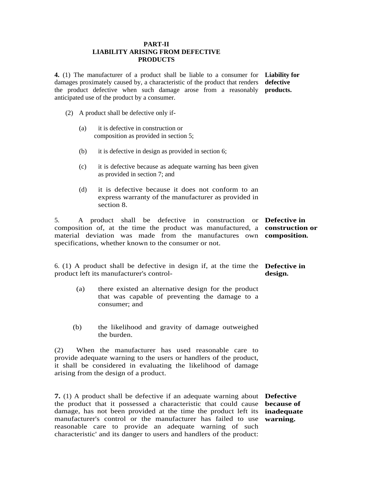#### **PART-II LIABILITY ARISING FROM DEFECTIVE PRODUCTS**

**4.** (1) The manufacturer of a product shall be liable to a consumer for **Liability for**  damages proximately caused by, a characteristic of the product that renders **defective**  the product defective when such damage arose from a reasonably **products.**  anticipated use of the product by a consumer.

- (2) A product shall be defective only if-
	- (a) it is defective in construction or composition as provided in section 5;
	- (b) it is defective in design as provided in section 6;
	- (c) it is defective because as adequate warning has been given as provided in section 7; and
	- (d) it is defective because it does not conform to an express warranty of the manufacturer as provided in section 8.

5. A product shall be defective in construction or **Defective in**  composition of, at the time the product was manufactured, a **construction or**  material deviation was made from the manufactures own **composition.**  specifications, whether known to the consumer or not.

6. (1) A product shall be defective in design if, at the time the **Defective in**  product left its manufacturer's control **design.** 

- (a) there existed an alternative design for the product that was capable of preventing the damage to a consumer; and
- (b) the likelihood and gravity of damage outweighed the burden.

(2) When the manufacturer has used reasonable care to provide adequate warning to the users or handlers of the product, it shall be considered in evaluating the likelihood of damage arising from the design of a product.

**7.** (1) A product shall be defective if an adequate warning about **Defective**  the product that it possessed a characteristic that could cause **because of**  damage, has not been provided at the time the product left its **inadequate**  manufacturer's control or the manufacturer has failed to use **warning.**reasonable care to provide an adequate warning of such characteristic' and its danger to users and handlers of the product: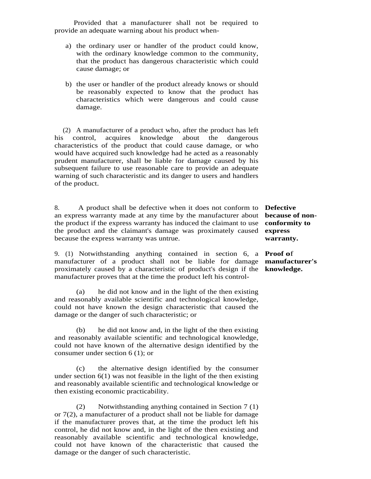Provided that a manufacturer shall not be required to provide an adequate warning about his product when-

- a) the ordinary user or handler of the product could know, with the ordinary knowledge common to the community, that the product has dangerous characteristic which could cause damage; or
- b) the user or handler of the product already knows or should be reasonably expected to know that the product has characteristics which were dangerous and could cause damage.

 (2) A manufacturer of a product who, after the product has left his control, acquires knowledge about the dangerous characteristics of the product that could cause damage, or who would have acquired such knowledge had he acted as a reasonably prudent manufacturer, shall be liable for damage caused by his subsequent failure to use reasonable care to provide an adequate warning of such characteristic and its danger to users and handlers of the product.

8.A product shall be defective when it does not conform to **Defective**  an express warranty made at any time by the manufacturer about **because of non**the product if the express warranty has induced the claimant to use **conformity to**  the product and the claimant's damage was proximately caused **express**  because the express warranty was untrue.

9. (1) Notwithstanding anything contained in section 6, a **Proof o**f manufacturer of a product shall not be liable for damage **manufacturer's**  proximately caused by a characteristic of product's design if the **knowledge.**manufacturer proves that at the time the product left his control-

(a) he did not know and in the light of the then existing and reasonably available scientific and technological knowledge, could not have known the design characteristic that caused the damage or the danger of such characteristic; or

(b) he did not know and, in the light of the then existing and reasonably available scientific and technological knowledge, could not have known of the alternative design identified by the consumer under section 6 (1); or

(c) the alternative design identified by the consumer under section  $6(1)$  was not feasible in the light of the then existing and reasonably available scientific and technological knowledge or then existing economic practicability.

 (2) Notwithstanding anything contained in Section 7 (1) or 7(2), a manufacturer of a product shall not be liable for damage if the manufacturer proves that, at the time the product left his control, he did not know and, in the light of the then existing and reasonably available scientific and technological knowledge, could not have known of the characteristic that caused the damage or the danger of such characteristic.

**warranty.**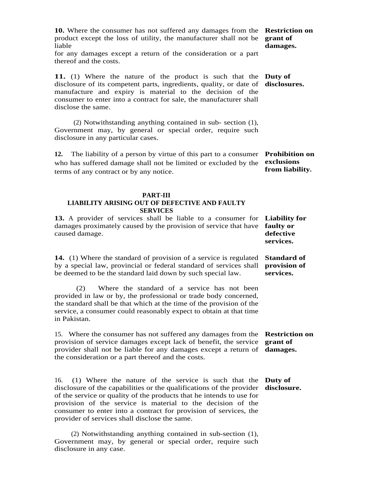**10.** Where the consumer has not suffered any damages from the **Restriction on**  product except the loss of utility, the manufacturer shall not be **grant of**  liable

for any damages except a return of the consideration or a part thereof and the costs.

**11.** (1) Where the nature of the product is such that the **Duty of**  disclosure of its competent parts, ingredients, quality, or date of **disclosures.** manufacture and expiry is material to the decision of the consumer to enter into a contract for sale, the manufacturer shall disclose the same.

(2) Notwithstanding anything contained in sub- section (1), Government may, by general or special order, require such disclosure in any particular cases.

**12.** The liability of a person by virtue of this part to a consumer **Prohibition on**  who has suffered damage shall not be limited or excluded by the **exclusions**  terms of any contract or by any notice.

#### **PART-III**

#### **LIABILITY ARISING OUT OF DEFECTIVE AND FAULTY SERVICES**

**13.** A provider of services shall be liable to a consumer for **Liability for**  damages proximately caused by the provision of service that have **faulty or**  caused damage.

**14.** (1) Where the standard of provision of a service is regulated **Standard of**  by a special law, provincial or federal standard of services shall be deemed to be the standard laid down by such special law.

 (2) Where the standard of a service has not been provided in law or by, the professional or trade body concerned, the standard shall be that which at the time of the provision of the service, a consumer could reasonably expect to obtain at that time in Pakistan.

15.Where the consumer has not suffered any damages from the **Restriction on**  provision of service damages except lack of benefit, the service **grant of**  provider shall not be liable for any damages except a return of **damages.** the consideration or a part thereof and the costs.

16. (1) Where the nature of the service is such that the **Duty of**  disclosure of the capabilities or the qualifications of the provider **disclosure.**of the service or quality of the products that he intends to use for provision of the service is material to the decision of the consumer to enter into a contract for provision of services, the provider of services shall disclose the same.

 (2) Notwithstanding anything contained in sub-section (1), Government may, by general or special order, require such disclosure in any case.

# **damages.**

**from liability.** 

**defective services.**

**provision of services.**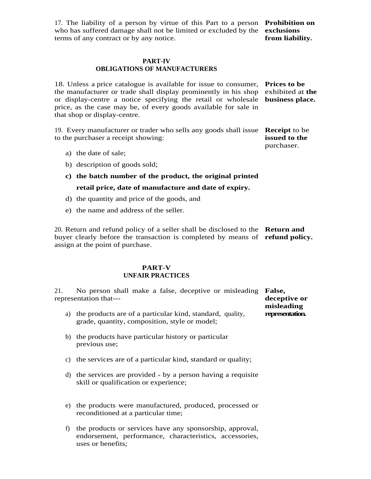17. The liability of a person by virtue of this Part to a person **Prohibition on**  who has suffered damage shall not be limited or excluded by the **exclusions**  terms of any contract or by any notice.

#### **PART-IV OBLIGATIONS OF MANUFACTURERS**

18. Unless a price catalogue is available for issue to consumer, **Prices to be**  the manufacturer or trade shall display prominently in his shop exhibited at **the**  or display-centre a notice specifying the retail or wholesale **business place.** price, as the case may be, of every goods available for sale in that shop or display-centre.

19. Every manufacturer or trader who sells any goods shall issue **Receipt** to be to the purchaser a receipt showing:

a) the date of sale;

b) description of goods sold;

**c) the batch number of the product, the original printed retail price, date of manufacture and date of expiry.** 

- d) the quantity and price of the goods, and
- e) the name and address of the seller.

20. Return and refund policy of a seller shall be disclosed to the **Return and**  buyer clearly before the transaction is completed by means of **refund policy.** assign at the point of purchase.

#### **PART-V UNFAIR PRACTICES**

21.No person shall make a false, deceptive or misleading **False,**  representation that---

- a) the products are of a particular kind, standard, quality, grade, quantity, composition, style or model;
- b) the products have particular history or particular previous use;
- c) the services are of a particular kind, standard or quality;
- d) the services are provided by a person having a requisite skill or qualification or experience;
- e) the products were manufactured, produced, processed or reconditioned at a particular time;
- f) the products or services have any sponsorship, approval, endorsement, performance, characteristics, accessories, uses or benefits;

**from liability.** 

**issued to the**  purchaser.

**deceptive or misleading representation.**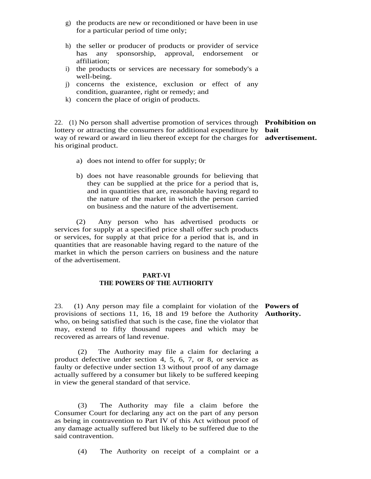- g) the products are new or reconditioned or have been in use for a particular period of time only;
- h) the seller or producer of products or provider of service has any sponsorship, approval, endorsement or affiliation;
- i) the products or services are necessary for somebody's a well-being.
- j) concerns the existence, exclusion or effect of any condition, guarantee, right or remedy; and
- k) concern the place of origin of products.

22.(1) No person shall advertise promotion of services through **Prohibition on**  lottery or attracting the consumers for additional expenditure by **bait**  way of reward or award in lieu thereof except for the charges for **advertisement.** his original product.

- a) does not intend to offer for supply; 0r
- b) does not have reasonable grounds for believing that they can be supplied at the price for a period that is, and in quantities that are, reasonable having regard to the nature of the market in which the person carried on business and the nature of the advertisement.

(2) Any person who has advertised products or services for supply at a specified price shall offer such products or services, for supply at that price for a period that is, and in quantities that are reasonable having regard to the nature of the market in which the person carriers on business and the nature of the advertisement.

#### **PART-VI THE POWERS OF THE AUTHORITY**

23. (1) Any person may file a complaint for violation of the **Powers of**  provisions of sections 11, 16, 18 and 19 before the Authority **Authority.**who, on being satisfied that such is the case, fine the violator that may, extend to fifty thousand rupees and which may be recovered as arrears of land revenue.

 (2) The Authority may file a claim for declaring a product defective under section 4, 5, 6, 7, or 8, or service as faulty or defective under section 13 without proof of any damage actually suffered by a consumer but likely to be suffered keeping in view the general standard of that service.

 (3) The Authority may file a claim before the Consumer Court for declaring any act on the part of any person as being in contravention to Part IV of this Act without proof of any damage actually suffered but likely to be suffered due to the said contravention.

(4) The Authority on receipt of a complaint or a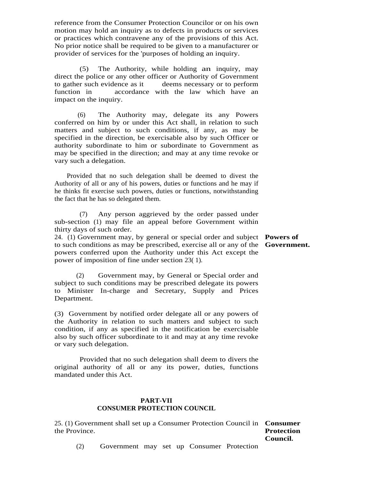reference from the Consumer Protection Councilor or on his own motion may hold an inquiry as to defects in products or services or practices which contravene any of the provisions of this Act. No prior notice shall be required to be given to a manufacturer or provider of services for the 'purposes of holding an inquiry.

 (5) The Authority, while holding an inquiry, may direct the police or any other officer or Authority of Government to gather such evidence as it deems necessary or to perform function in accordance with the law which have an impact on the inquiry.

 (6) The Authority may, delegate its any Powers conferred on him by or under this Act shall, in relation to such matters and subject to such conditions, if any, as may be specified in the direction, be exercisable also by such Officer or authority subordinate to him or subordinate to Government as may be specified in the direction; and may at any time revoke or vary such a delegation.

 Provided that no such delegation shall be deemed to divest the Authority of all or any of his powers, duties or functions and he may if he thinks fit exercise such powers, duties or functions, notwithstanding the fact that he has so delegated them.

(7) Any person aggrieved by the order passed under sub-section (1) may file an appeal before Government within thirty days of such order.

24. (1) Government may, by general or special order and subject **Powers of**  to such conditions as may be prescribed, exercise all or any of the **Government.** powers conferred upon the Authority under this Act except the power of imposition of fine under section 23( 1).

 (2) Government may, by General or Special order and subject to such conditions may be prescribed delegate its powers to Minister In-charge and Secretary, Supply and Prices Department.

(3) Government by notified order delegate all or any powers of the Authority in relation to such matters and subject to such condition, if any as specified in the notification be exercisable also by such officer subordinate to it and may at any time revoke or vary such delegation.

 Provided that no such delegation shall deem to divers the original authority of all or any its power, duties, functions mandated under this Act.

#### **PART-VII CONSUMER PROTECTION COUNCIL**

25. (1) Government shall set up a Consumer Protection Council in **Consumer**  the Province.

## **Protection Council.**

(2) Government may set up Consumer Protection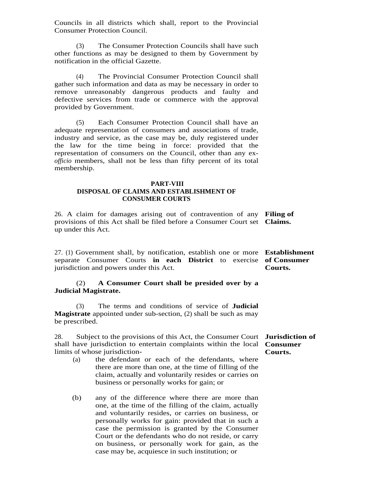Councils in all districts which shall, report to the Provincial Consumer Protection Council.

 (3) The Consumer Protection Councils shall have such other functions as may be designed to them by Government by notification in the official Gazette.

(4) The Provincial Consumer Protection Council shall gather such information and data as may be necessary in order to remove unreasonably dangerous products and faulty and defective services from trade or commerce with the approval provided by Government.

 (5) Each Consumer Protection Council shall have an adequate representation of consumers and associations of trade, industry and service, as the case may be, duly registered under the law for the time being in force: provided that the representation of consumers on the Council, other than any ex*officio* members, shall not be less than fifty percent of its total membership.

#### **PART-VIII DISPOSAL OF CLAIMS AND ESTABLISHMENT OF CONSUMER COURTS**

26. A claim for damages arising out of contravention of any **Filing of**  provisions of this Act shall be filed before a Consumer Court set **Claims.** up under this Act.

27. (1) Government shall, by notification, establish one or more **Establishment**  separate Consumer Courts **in each District** to exercise **of Consumer**  jurisdiction and powers under this Act. **Courts.**

#### (2) **A Consumer Court shall be presided over by a Judicial Magistrate.**

 (3) The terms and conditions of service of **Judicial Magistrate** appointed under sub-section, (2) shall be such as may be prescribed.

28.Subject to the provisions of this Act, the Consumer Court **Jurisdiction of**  shall have jurisdiction to entertain complaints within the local **Consumer**  limits of whose jurisdiction- **Courts.**

- (a) the defendant or each of the defendants, where there are more than one, at the time of filling of the claim, actually and voluntarily resides or carries on business or personally works for gain; or
- (b) any of the difference where there are more than one, at the time of the filling of the claim, actually and voluntarily resides, or carries on business, or personally works for gain: provided that in such a case the permission is granted by the Consumer Court or the defendants who do not reside, or carry on business, or personally work for gain, as the case may be, acquiesce in such institution; or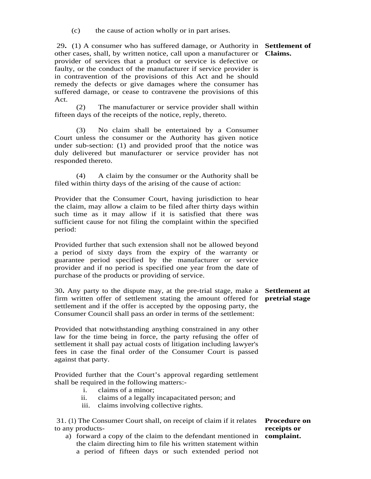(c) the cause of action wholly or in part arises.

 29**.** (1) A consumer who has suffered damage, or Authority in **Settlement of**  other cases, shall, by written notice, call upon a manufacturer or **Claims.** provider of services that a product or service is defective or faulty, or the conduct of the manufacturer if service provider is in contravention of the provisions of this Act and he should remedy the defects or give damages where the consumer has suffered damage, or cease to contravene the provisions of this Act.

(2) The manufacturer or service provider shall within fifteen days of the receipts of the notice, reply, thereto.

(3) No claim shall be entertained by a Consumer Court unless the consumer or the Authority has given notice under sub-section: (1) and provided proof that the notice was duly delivered but manufacturer or service provider has not responded thereto.

(4) A claim by the consumer or the Authority shall be filed within thirty days of the arising of the cause of action:

Provider that the Consumer Court, having jurisdiction to hear the claim, may allow a claim to be filed after thirty days within such time as it may allow if it is satisfied that there was sufficient cause for not filing the complaint within the specified period:

Provided further that such extension shall not be allowed beyond a period of sixty days from the expiry of the warranty or guarantee period specified by the manufacturer or service provider and if no period is specified one year from the date of purchase of the products or providing of service.

30**.** Any party to the dispute may, at the pre-trial stage, make a **Settlement at**  firm written offer of settlement stating the amount offered for **pretrial stage**  settlement and if the offer is accepted by the opposing party, the Consumer Council shall pass an order in terms of the settlement:

Provided that notwithstanding anything constrained in any other law for the time being in force, the party refusing the offer of settlement it shall pay actual costs of litigation including lawyer's fees in case the final order of the Consumer Court is passed against that party.

Provided further that the Court's approval regarding settlement shall be required in the following matters:-

- i. claims of a minor;
- ii. claims of a legally incapacitated person; and
- iii. claims involving collective rights.

31. (1) The Consumer Court shall, on receipt of claim if it relates **Procedure on**  to any products-

a) forward a copy of the claim to the defendant mentioned in **complaint.**the claim directing him to file his written statement within a period of fifteen days or such extended period not

**receipts or**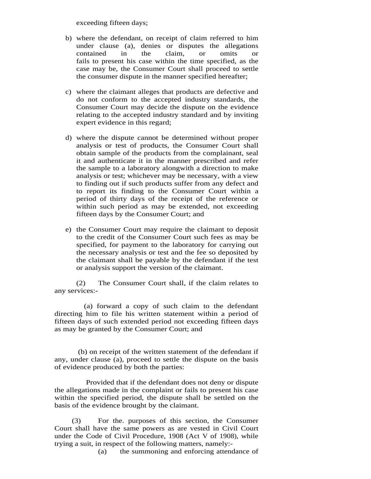exceeding fifteen days;

- b) where the defendant, on receipt of claim referred to him under clause (a), denies or disputes the allegations contained in the claim, or omits or fails to present his case within the time specified, as the case may be, the Consumer Court shall proceed to settle the consumer dispute in the manner specified hereafter;
- c) where the claimant alleges that products are defective and do not conform to the accepted industry standards, the Consumer Court may decide the dispute on the evidence relating to the accepted industry standard and by inviting expert evidence in this regard;
- d) where the dispute cannot be determined without proper analysis or test of products, the Consumer Court shall obtain sample of the products from the complainant, seal it and authenticate it in the manner prescribed and refer the sample to a laboratory alongwith a direction to make analysis or test; whichever may be necessary, with a view to finding out if such products suffer from any defect and to report its finding to the Consumer Court within a period of thirty days of the receipt of the reference or within such period as may be extended, not exceeding fifteen days by the Consumer Court; and
- e) the Consumer Court may require the claimant to deposit to the credit of the Consumer Court such fees as may be specified, for payment to the laboratory for carrying out the necessary analysis or test and the fee so deposited by the claimant shall be payable by the defendant if the test or analysis support the version of the claimant.

(2) The Consumer Court shall, if the claim relates to any services:-

 (a) forward a copy of such claim to the defendant directing him to file his written statement within a period of fifteen days of such extended period not exceeding fifteen days as may be granted by the Consumer Court; and

 (b) on receipt of the written statement of the defendant if any, under clause (a), proceed to settle the dispute on the basis of evidence produced by both the parties:

 Provided that if the defendant does not deny or dispute the allegations made in the complaint or fails to present his case within the specified period, the dispute shall be settled on the basis of the evidence brought by the claimant.

 (3) For the. purposes of this section, the Consumer Court shall have the same powers as are vested in Civil Court under the Code of Civil Procedure, 1908 (Act V of 1908), while trying a suit, in respect of the following matters, namely:-

(a) the summoning and enforcing attendance of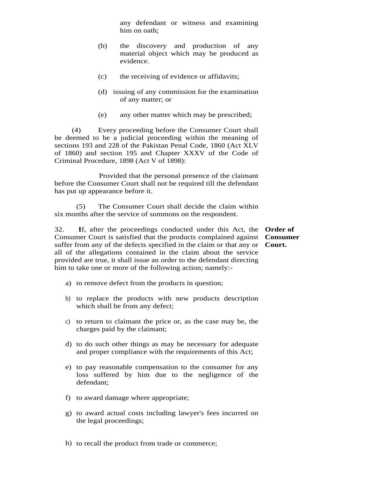any defendant or witness and examining him on oath;

- (b) the discovery and production of any material object which may be produced as evidence.
- (c) the receiving of evidence or affidavits;
- (d) issuing of any commission for the examination of any matter; or
- (e) any other matter which may be prescribed;

 (4) Every proceeding before the Consumer Court shall be deemed to be a judicial proceeding within the meaning of sections 193 and 228 of the Pakistan Penal Code, 1860 (Act XLV of 1860) and section 195 and Chapter XXXV of the Code of Criminal Procedure, 1898 (Act V of 1898):

 Provided that the personal presence of the claimant before the Consumer Court shall not be required till the defendant has put up appearance before it.

(5) The Consumer Court shall decide the claim within six months after the service of summons on the respondent.

32. **I**f, after the proceedings conducted under this Act, the **Order of**  Consumer Court is satisfied that the products complained against **Consumer**  suffer from any of the defects specified in the claim or that any or **Court.**all of the allegations contained in the claim about the service provided are true, it shall issue an order to the defendant directing him to take one or more of the following action; namely:-

- a) to remove defect from the products in question;
- b) to replace the products with new products description which shall be from any defect;
- c) to return to claimant the price or, as the case may be, the charges paid by the claimant;
- d) to do such other things as may be necessary for adequate and proper compliance with the requirements of this Act;
- e) to pay reasonable compensation to the consumer for any loss suffered by him due to the negligence of the defendant;
- f) to award damage where appropriate;
- g) to award actual costs including lawyer's fees incurred on the legal proceedings;
- h) to recall the product from trade or commerce;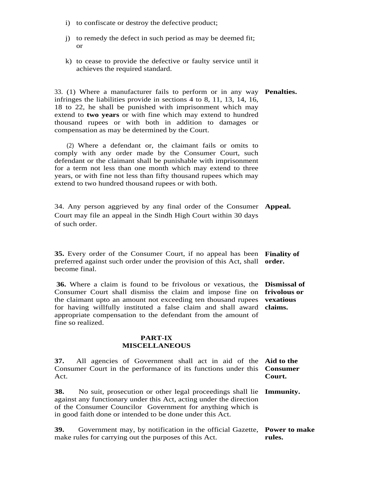- i) to confiscate or destroy the defective product;
- j) to remedy the defect in such period as may be deemed fit; or
- k) to cease to provide the defective or faulty service until it achieves the required standard.

33. (1) Where a manufacturer fails to perform or in any way **Penalties.** infringes the liabilities provide in sections 4 to 8, 11, 13, 14, 16, 18 to 22, he shall be punished with imprisonment which may extend to **two years** or with fine which may extend to hundred thousand rupees or with both in addition to damages or compensation as may be determined by the Court.

 (2) Where a defendant or, the claimant fails or omits to comply with any order made by the Consumer Court, such defendant or the claimant shall be punishable with imprisonment for a term not less than one month which may extend to three years, or with fine not less than fifty thousand rupees which may extend to two hundred thousand rupees or with both.

34. Any person aggrieved by any final order of the Consumer **Appeal.** Court may file an appeal in the Sindh High Court within 30 days of such order.

**35.** Every order of the Consumer Court, if no appeal has been **Finality of**  preferred against such order under the provision of this Act, shall **order.** become final.

 **36.** Where a claim is found to be frivolous or vexatious, the **Dismissal of**  Consumer Court shall dismiss the claim and impose fine on **frivolous or**  the claimant upto an amount not exceeding ten thousand rupees **vexatious**  for having willfully instituted a false claim and shall award **claims.** appropriate compensation to the defendant from the amount of fine so realized.

#### **PART-IX MISCELLANEOUS**

**37.** All agencies of Government shall act in aid of the **Aid to the**  Consumer Court in the performance of its functions under this **Consumer**  Act. **Court.** 

**38.** No suit, prosecution or other legal proceedings shall lie **Immunity.** against any functionary under this Act, acting under the direction of the Consumer Councilor Government for anything which is in good faith done or intended to be done under this Act.

**39.** Government may, by notification in the official Gazette, **Power to make**  make rules for carrying out the purposes of this Act. **rules.**